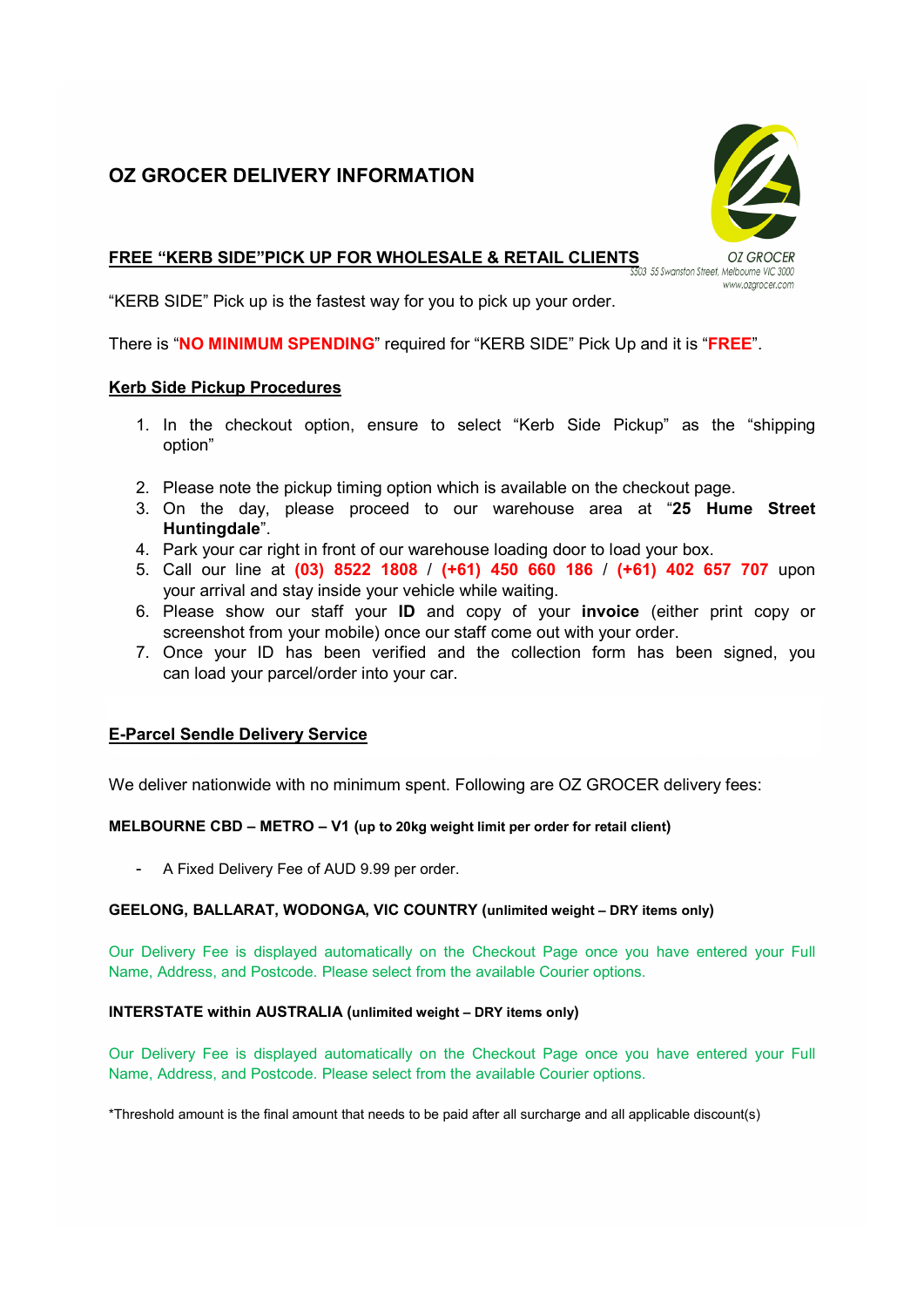# OZ GROCER DELIVERY INFORMATION



# FREE "KERB SIDE"PICK UP FOR WHOLESALE & RETAIL CLIENTS OZ GROCER

www.ozarocer.com

"KERB SIDE" Pick up is the fastest way for you to pick up your order.

There is "**NO MINIMUM SPENDING**" required for "KERB SIDE" Pick Up and it is "FREE".

## Kerb Side Pickup Procedures

- 1. In the checkout option, ensure to select "Kerb Side Pickup" as the "shipping option"
- 2. Please note the pickup timing option which is available on the checkout page.
- 3. On the day, please proceed to our warehouse area at "25 Hume Street Huntingdale".
- 4. Park your car right in front of our warehouse loading door to load your box.
- 5. Call our line at (03) 8522 1808 / (+61) 450 660 186 / (+61) 402 657 707 upon your arrival and stay inside your vehicle while waiting.
- 6. Please show our staff your ID and copy of your invoice (either print copy or screenshot from your mobile) once our staff come out with your order.
- 7. Once your ID has been verified and the collection form has been signed, you can load your parcel/order into your car.

# E-Parcel Sendle Delivery Service

We deliver nationwide with no minimum spent. Following are OZ GROCER delivery fees:

## MELBOURNE CBD – METRO – V1 (up to 20kg weight limit per order for retail client)

A Fixed Delivery Fee of AUD 9.99 per order.

## GEELONG, BALLARAT, WODONGA, VIC COUNTRY (unlimited weight – DRY items only)

Our Delivery Fee is displayed automatically on the Checkout Page once you have entered your Full Name, Address, and Postcode. Please select from the available Courier options.

## INTERSTATE within AUSTRALIA (unlimited weight – DRY items only)

Our Delivery Fee is displayed automatically on the Checkout Page once you have entered your Full Name, Address, and Postcode. Please select from the available Courier options.

\*Threshold amount is the final amount that needs to be paid after all surcharge and all applicable discount(s)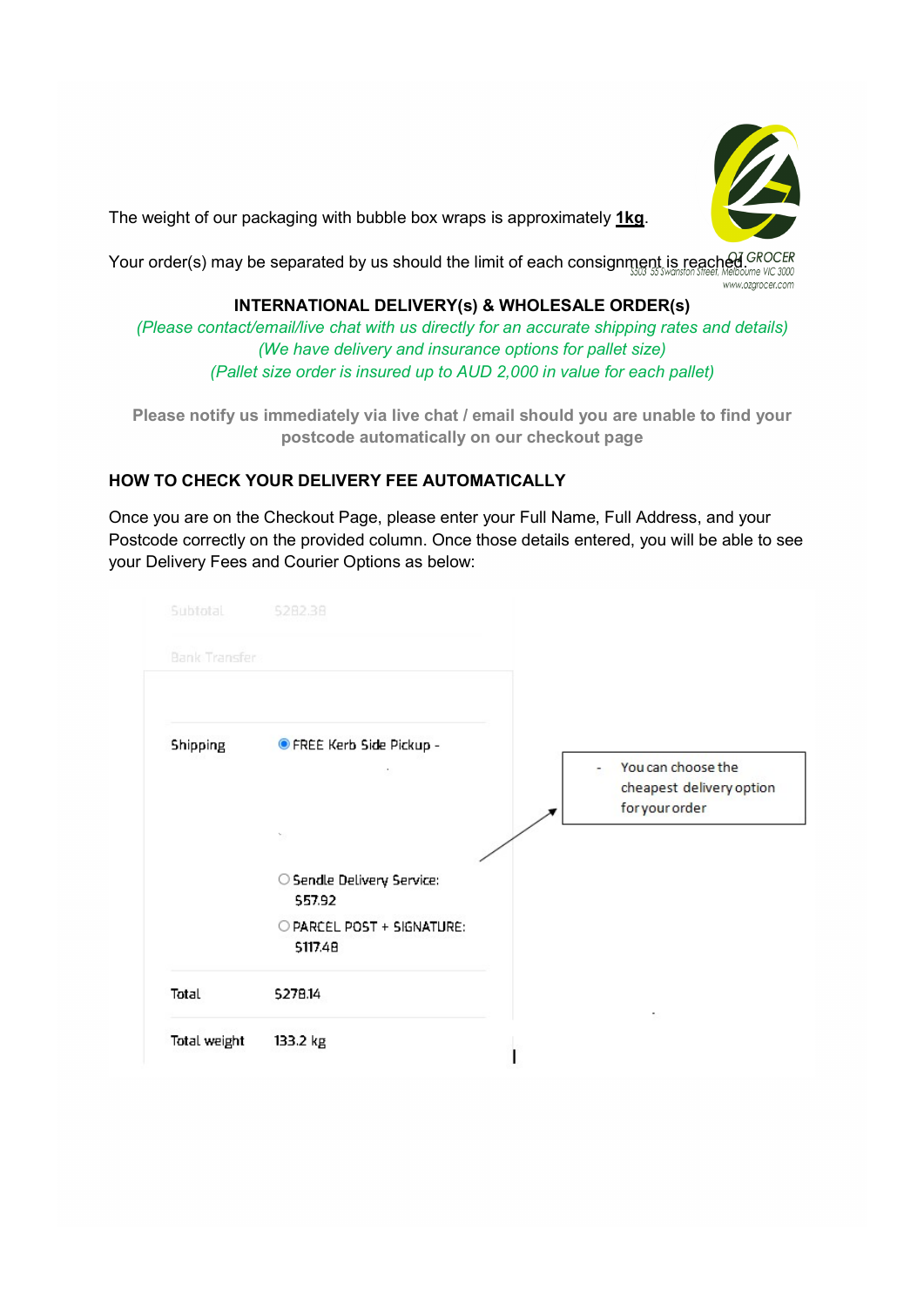

The weight of our packaging with bubble box wraps is approximately 1kg.

Your order(s) may be separated by us should the limit of each consignment is reached GROCER www.ozarocer.com

# INTERNATIONAL DELIVERY(s) & WHOLESALE ORDER(s)

(Please contact/email/live chat with us directly for an accurate shipping rates and details) (We have delivery and insurance options for pallet size) (Pallet size order is insured up to AUD 2,000 in value for each pallet)

Please notify us immediately via live chat / email should you are unable to find your postcode automatically on our checkout page

# HOW TO CHECK YOUR DELIVERY FEE AUTOMATICALLY

Once you are on the Checkout Page, please enter your Full Name, Full Address, and your Postcode correctly on the provided column. Once those details entered, you will be able to see your Delivery Fees and Courier Options as below:

| Subtotal             | 5282.38                               |                                                                  |
|----------------------|---------------------------------------|------------------------------------------------------------------|
| <b>Bank Transfer</b> |                                       |                                                                  |
|                      |                                       |                                                                  |
| <b>Shipping</b>      | ● FREE Kerb Side Pickup -<br>٠        | You can choose the<br>cheapest delivery option<br>for your order |
|                      |                                       |                                                                  |
|                      | O Sendle Delivery Service:<br>557.92  |                                                                  |
|                      | O PARCEL POST + SIGNATURE:<br>5117.48 |                                                                  |
| Total                | 5278.14                               |                                                                  |
| Total weight         | 133.2 kg                              |                                                                  |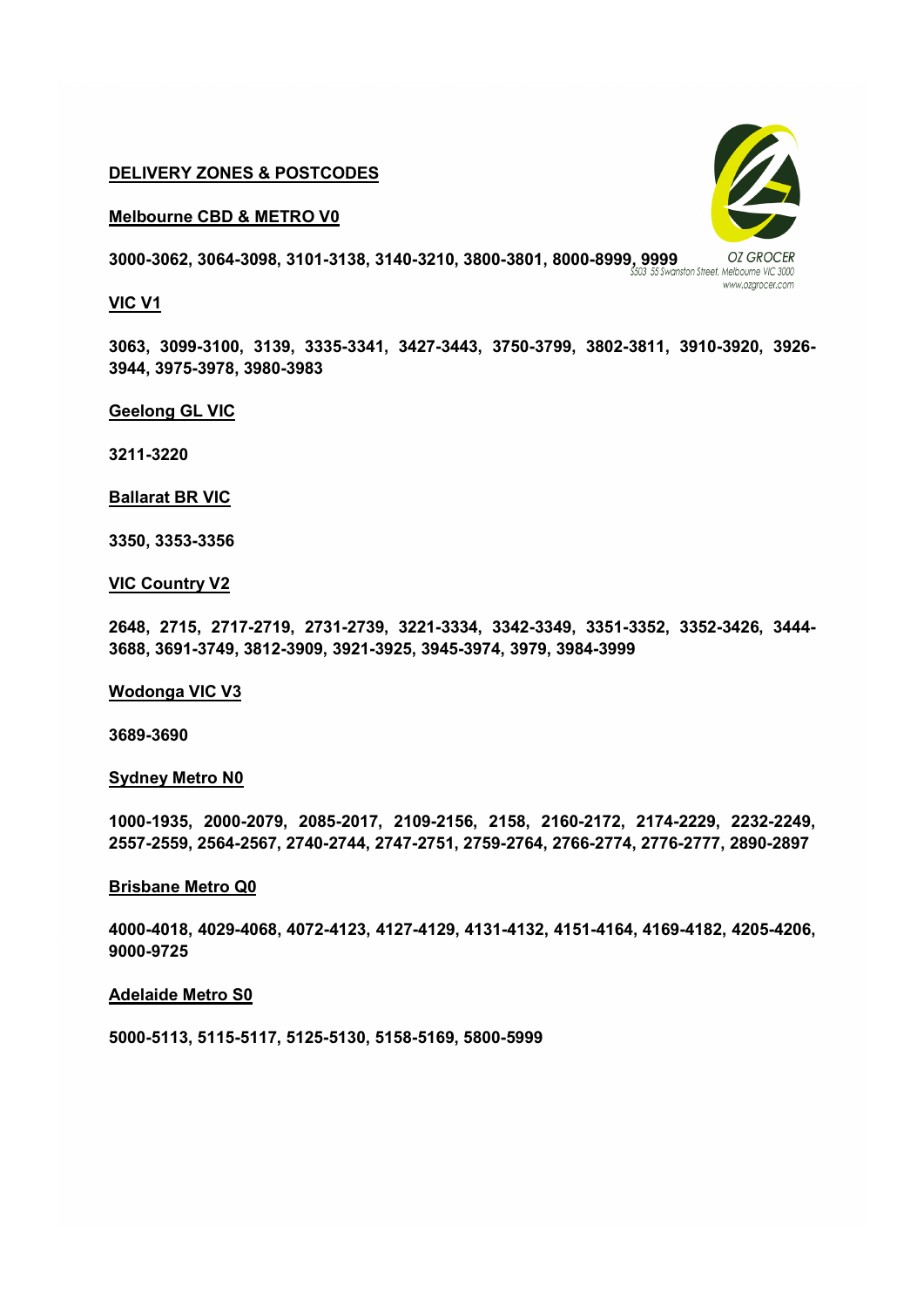#### DELIVERY ZONES & POSTCODES

Melbourne CBD & METRO V0

3000-3062, 3064-3098, 3101-3138, 3140-3210, 3800-3801, 8000-8999, 9999<br>35 St Swanston Street, Melbourne VIC 3000

# VIC V1

3063, 3099-3100, 3139, 3335-3341, 3427-3443, 3750-3799, 3802-3811, 3910-3920, 3926- 3944, 3975-3978, 3980-3983

## Geelong GL VIC

3211-3220

Ballarat BR VIC

3350, 3353-3356

## VIC Country V2

2648, 2715, 2717-2719, 2731-2739, 3221-3334, 3342-3349, 3351-3352, 3352-3426, 3444- 3688, 3691-3749, 3812-3909, 3921-3925, 3945-3974, 3979, 3984-3999

#### Wodonga VIC V3

3689-3690

#### Sydney Metro N0

1000-1935, 2000-2079, 2085-2017, 2109-2156, 2158, 2160-2172, 2174-2229, 2232-2249, 2557-2559, 2564-2567, 2740-2744, 2747-2751, 2759-2764, 2766-2774, 2776-2777, 2890-2897

#### Brisbane Metro Q0

4000-4018, 4029-4068, 4072-4123, 4127-4129, 4131-4132, 4151-4164, 4169-4182, 4205-4206, 9000-9725

#### Adelaide Metro S0

5000-5113, 5115-5117, 5125-5130, 5158-5169, 5800-5999



www.ozarocer.com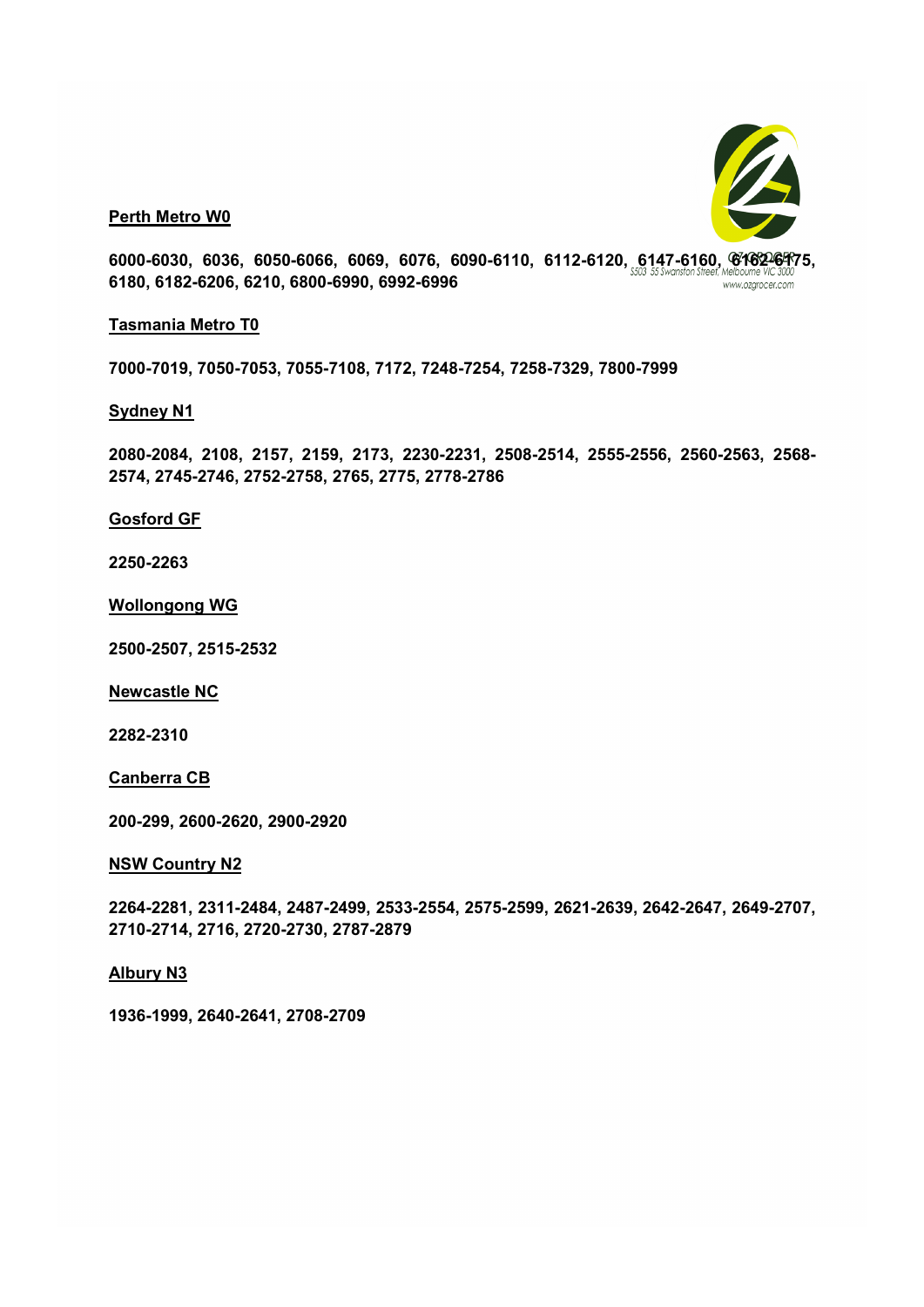

Perth Metro W0

6000-6030, 6036, 6050-6066, 6069, 6076, 6090-6110, 6112-6120, 6147-6160, 6762-6475, 6180, 6182-6206, 6210, 6800-6990, 6992-6996 www.ozarocer.com

#### Tasmania Metro T0

7000-7019, 7050-7053, 7055-7108, 7172, 7248-7254, 7258-7329, 7800-7999

#### Sydney N1

2080-2084, 2108, 2157, 2159, 2173, 2230-2231, 2508-2514, 2555-2556, 2560-2563, 2568- 2574, 2745-2746, 2752-2758, 2765, 2775, 2778-2786

#### Gosford GF

2250-2263

#### Wollongong WG

2500-2507, 2515-2532

Newcastle NC

2282-2310

#### Canberra CB

200-299, 2600-2620, 2900-2920

#### NSW Country N2

2264-2281, 2311-2484, 2487-2499, 2533-2554, 2575-2599, 2621-2639, 2642-2647, 2649-2707, 2710-2714, 2716, 2720-2730, 2787-2879

#### Albury N3

1936-1999, 2640-2641, 2708-2709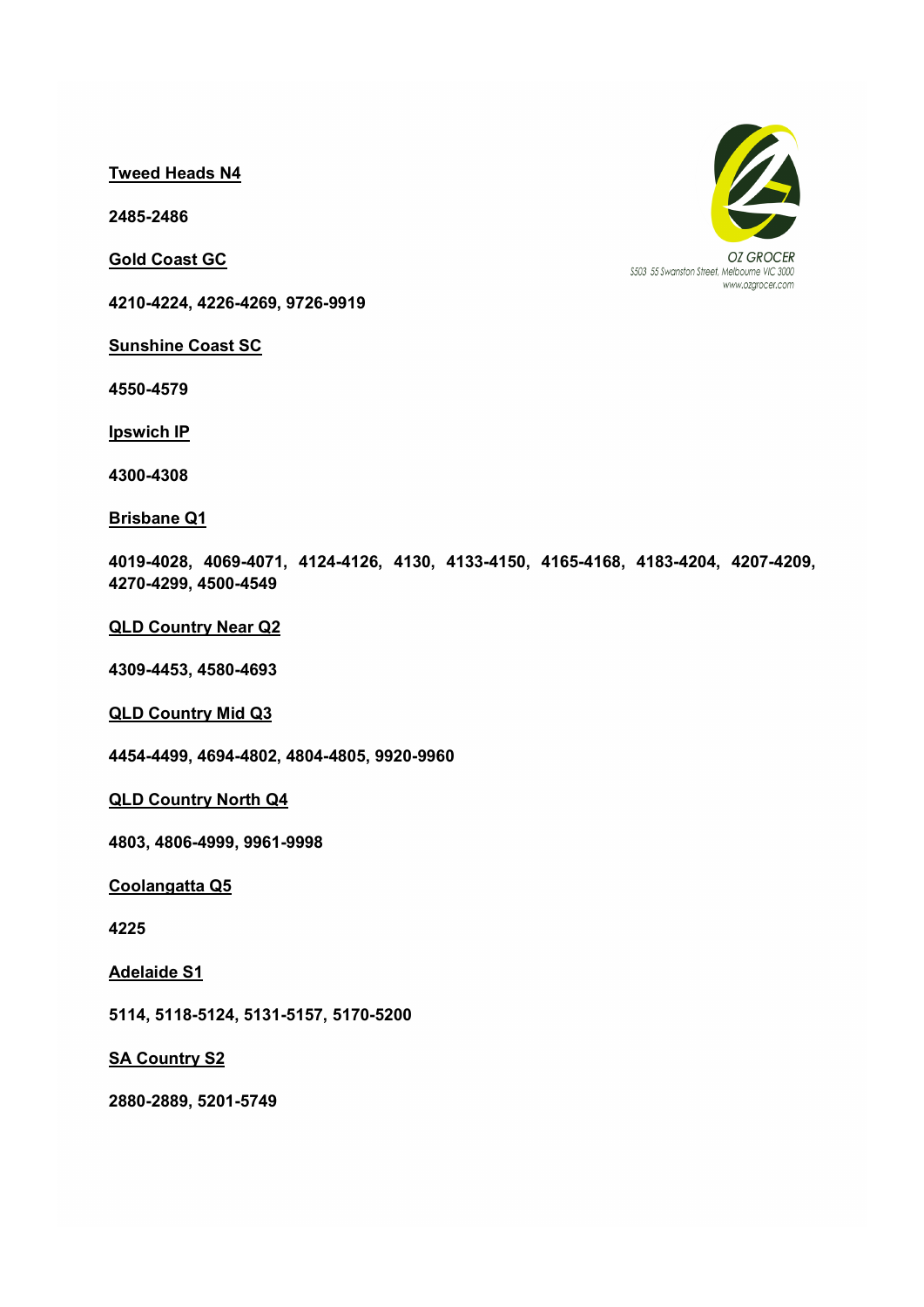Tweed Heads N4

2485-2486

Gold Coast GC

4210-4224, 4226-4269, 9726-9919

Sunshine Coast SC

4550-4579

Ipswich IP

4300-4308

#### Brisbane Q1

4019-4028, 4069-4071, 4124-4126, 4130, 4133-4150, 4165-4168, 4183-4204, 4207-4209, 4270-4299, 4500-4549

QLD Country Near Q2

4309-4453, 4580-4693

QLD Country Mid Q3

4454-4499, 4694-4802, 4804-4805, 9920-9960

QLD Country North Q4

4803, 4806-4999, 9961-9998

Coolangatta Q5

4225

Adelaide S1

5114, 5118-5124, 5131-5157, 5170-5200

**SA Country S2** 

2880-2889, 5201-5749



\$503 55 Swanston Street, Melbourne VIC 3000 www.ozarocer.com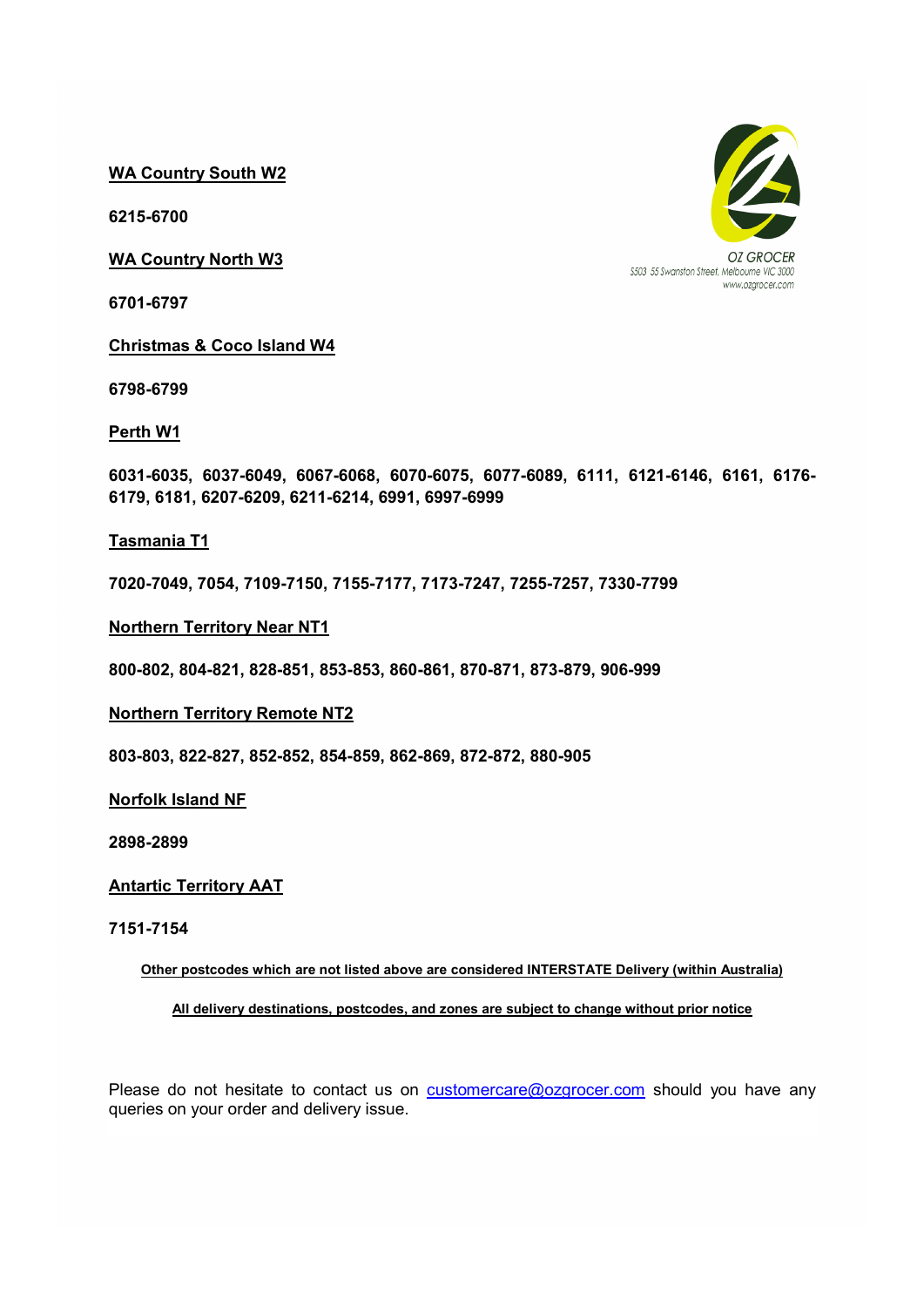WA Country South W2

6215-6700

WA Country North W3

6701-6797

Christmas & Coco Island W4

6798-6799

Perth W1

6031-6035, 6037-6049, 6067-6068, 6070-6075, 6077-6089, 6111, 6121-6146, 6161, 6176- 6179, 6181, 6207-6209, 6211-6214, 6991, 6997-6999

## Tasmania T1

7020-7049, 7054, 7109-7150, 7155-7177, 7173-7247, 7255-7257, 7330-7799

Northern Territory Near NT1

800-802, 804-821, 828-851, 853-853, 860-861, 870-871, 873-879, 906-999

#### Northern Territory Remote NT2

803-803, 822-827, 852-852, 854-859, 862-869, 872-872, 880-905

Norfolk Island NF

2898-2899

## Antartic Territory AAT

#### 7151-7154

Other postcodes which are not listed above are considered INTERSTATE Delivery (within Australia)

# All delivery destinations, postcodes, and zones are subject to change without prior notice

Please do not hesitate to contact us on customercare@ozgrocer.com should you have any queries on your order and delivery issue.

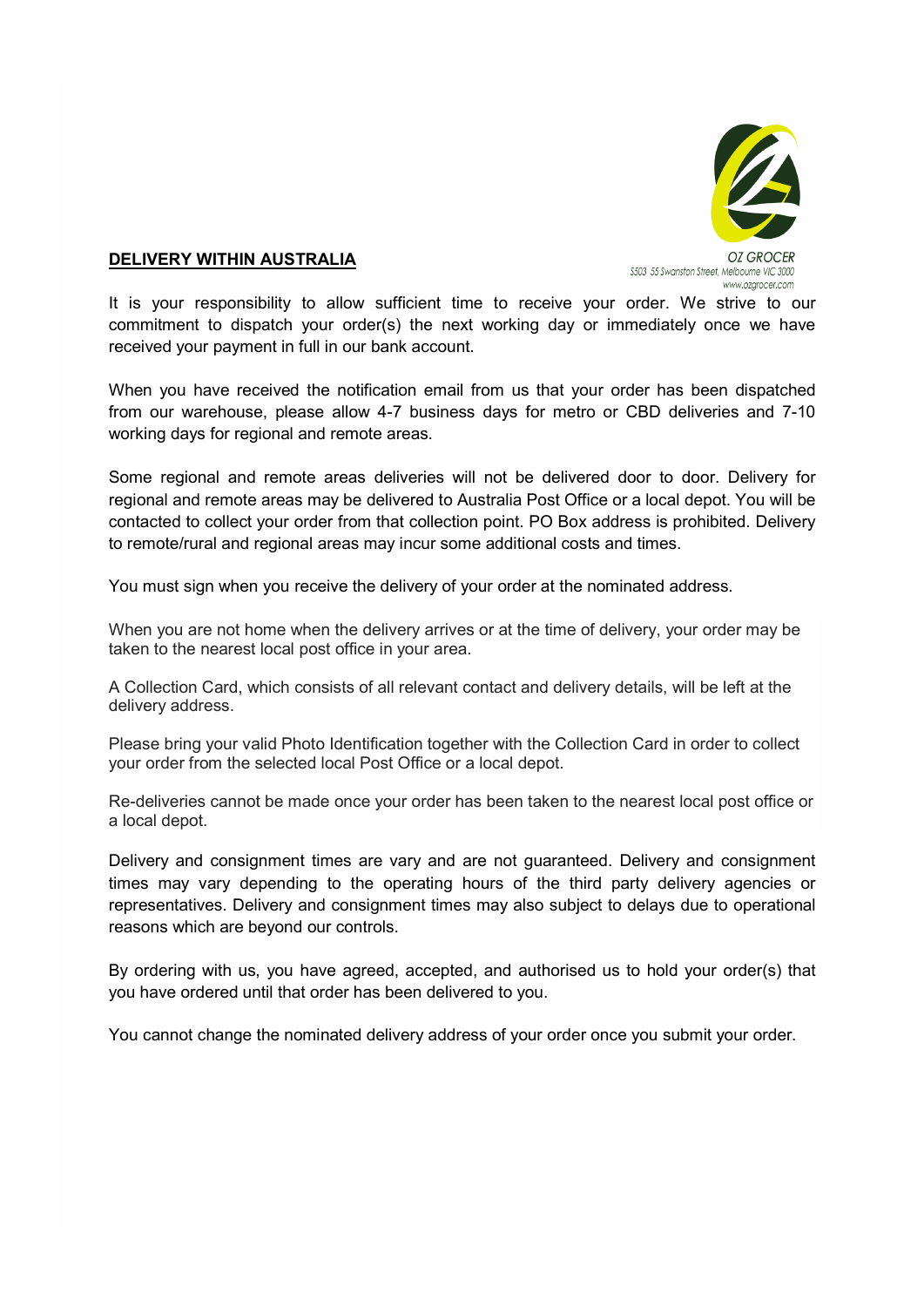

# DELIVERY WITHIN AUSTRALIA

It is your responsibility to allow sufficient time to receive your order. We strive to our commitment to dispatch your order(s) the next working day or immediately once we have received your payment in full in our bank account.

When you have received the notification email from us that your order has been dispatched from our warehouse, please allow 4-7 business days for metro or CBD deliveries and 7-10 working days for regional and remote areas.

Some regional and remote areas deliveries will not be delivered door to door. Delivery for regional and remote areas may be delivered to Australia Post Office or a local depot. You will be contacted to collect your order from that collection point. PO Box address is prohibited. Delivery to remote/rural and regional areas may incur some additional costs and times.

You must sign when you receive the delivery of your order at the nominated address.

When you are not home when the delivery arrives or at the time of delivery, your order may be taken to the nearest local post office in your area.

A Collection Card, which consists of all relevant contact and delivery details, will be left at the delivery address.

Please bring your valid Photo Identification together with the Collection Card in order to collect your order from the selected local Post Office or a local depot.

Re-deliveries cannot be made once your order has been taken to the nearest local post office or a local depot.

Delivery and consignment times are vary and are not guaranteed. Delivery and consignment times may vary depending to the operating hours of the third party delivery agencies or representatives. Delivery and consignment times may also subject to delays due to operational reasons which are beyond our controls.

By ordering with us, you have agreed, accepted, and authorised us to hold your order(s) that you have ordered until that order has been delivered to you.

You cannot change the nominated delivery address of your order once you submit your order.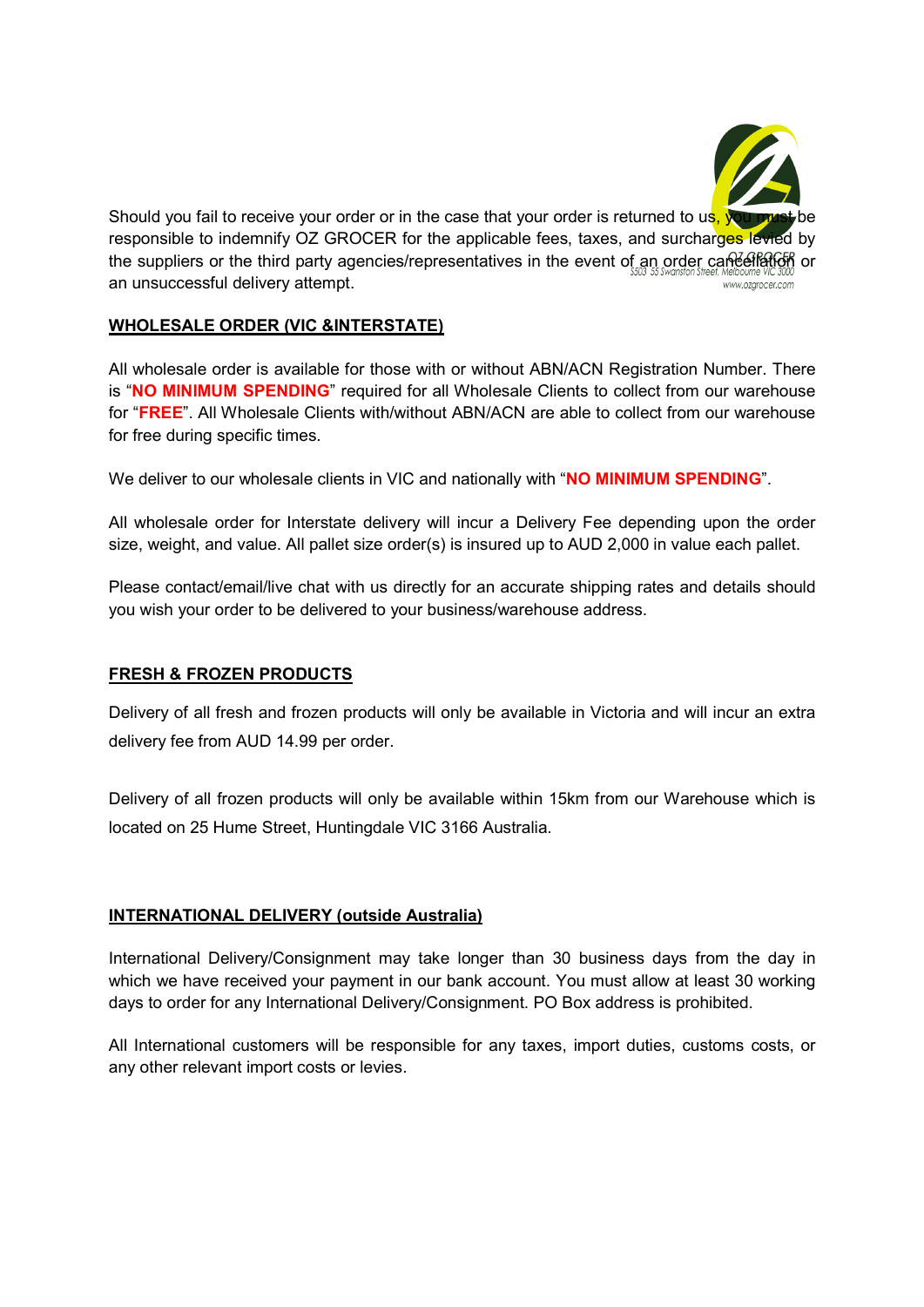

# WHOLESALE ORDER (VIC &INTERSTATE)

All wholesale order is available for those with or without ABN/ACN Registration Number. There is "NO MINIMUM SPENDING" required for all Wholesale Clients to collect from our warehouse for "FREE". All Wholesale Clients with/without ABN/ACN are able to collect from our warehouse for free during specific times.

We deliver to our wholesale clients in VIC and nationally with "NO MINIMUM SPENDING".

All wholesale order for Interstate delivery will incur a Delivery Fee depending upon the order size, weight, and value. All pallet size order(s) is insured up to AUD 2,000 in value each pallet.

Please contact/email/live chat with us directly for an accurate shipping rates and details should you wish your order to be delivered to your business/warehouse address.

# FRESH & FROZEN PRODUCTS

Delivery of all fresh and frozen products will only be available in Victoria and will incur an extra delivery fee from AUD 14.99 per order.

Delivery of all frozen products will only be available within 15km from our Warehouse which is located on 25 Hume Street, Huntingdale VIC 3166 Australia.

# INTERNATIONAL DELIVERY (outside Australia)

International Delivery/Consignment may take longer than 30 business days from the day in which we have received your payment in our bank account. You must allow at least 30 working days to order for any International Delivery/Consignment. PO Box address is prohibited.

All International customers will be responsible for any taxes, import duties, customs costs, or any other relevant import costs or levies.